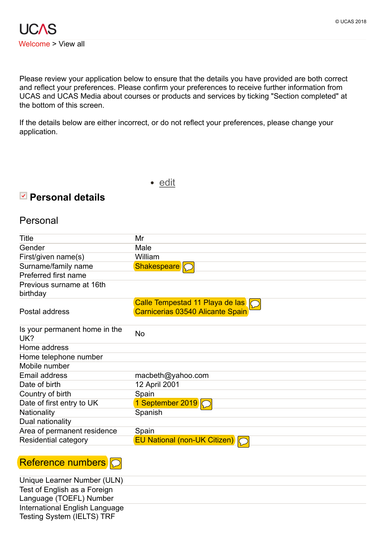Please review your application below to ensure that the details you have provided are both correct and reflect your preferences. Please confirm your preferences to receive further information from UCAS and UCAS Media about courses or products and services by ticking "Section completed" at the bottom of this screen.

If the details below are either incorrect, or do not reflect your preferences, please change your application.

# **Personal details**

#### Personal

| <b>Title</b>                                         | Mr                               |
|------------------------------------------------------|----------------------------------|
| Gender                                               | Male                             |
| First/given name(s)                                  | William                          |
| Surname/family name                                  | <b>Shakespeare</b>               |
| Preferred first name                                 |                                  |
| Previous surname at 16th<br>birthday                 |                                  |
|                                                      | Calle Tempestad 11 Playa de las  |
| Postal address                                       | Carnicerias 03540 Alicante Spain |
| Is your permanent home in the<br>UK?                 | No                               |
| Home address                                         |                                  |
| Home telephone number                                |                                  |
| Mobile number                                        |                                  |
| <b>Email address</b>                                 | macbeth@yahoo.com                |
| Date of birth                                        | 12 April 2001                    |
| Country of birth                                     | Spain                            |
| Date of first entry to UK                            | 1 September 2019   O             |
| Nationality                                          | Spanish                          |
| Dual nationality                                     |                                  |
| Area of permanent residence                          | Spain                            |
| <b>Residential category</b>                          | EU National (non-UK Citizen) C   |
|                                                      |                                  |
| $\mathsf{D}$ of concrete a construction $\mathsf{L}$ |                                  |

#### Reference numbers  $\bigcirc$

Unique Learner Number (ULN) Test of English as a Foreign Language (TOEFL) Number International English Language Testing System (IELTS) TRF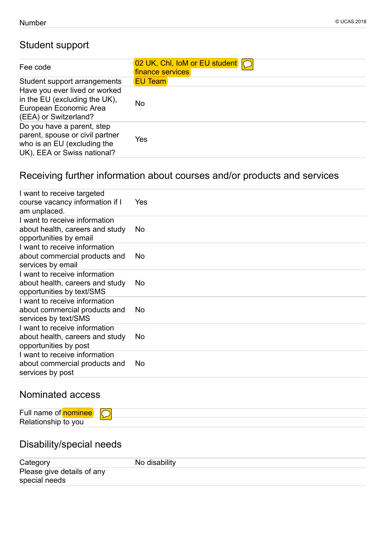# Student support

| Fee code                                                                                                                    | 02 UK, Chl, IoM or EU student<br>finance services |
|-----------------------------------------------------------------------------------------------------------------------------|---------------------------------------------------|
| Student support arrangements                                                                                                | <b>EU Team</b>                                    |
| Have you ever lived or worked<br>in the EU (excluding the UK),<br>European Economic Area<br>(EEA) or Switzerland?           | No                                                |
| Do you have a parent, step<br>parent, spouse or civil partner<br>who is an EU (excluding the<br>UK), EEA or Swiss national? | Yes                                               |

# Receiving further information about courses and/or products and services

| Yes |
|-----|
| No  |
| No. |
| No  |
| No. |
| No  |
| No  |
|     |

# Nominated access

| $\overline{ }$<br>Ful<br>. | ., |  |
|----------------------------|----|--|
| Re.<br>VOL.                |    |  |

# Disability/special needs

| Category                   | No disability |
|----------------------------|---------------|
| Please give details of any |               |
| special needs              |               |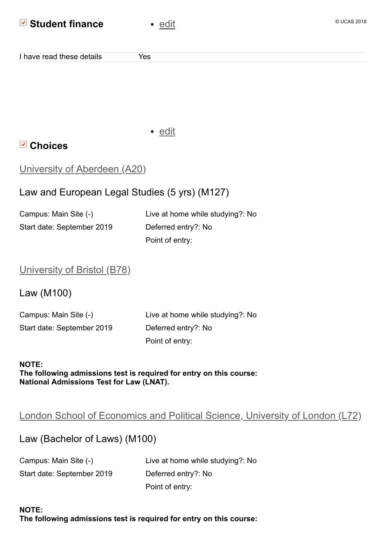## **Example 13 Student finance**

| ۰.<br>. .<br>e ve |  |
|-------------------|--|
|                   |  |

I have read these details Thes

• [edit](https://2019.undergrad.apply.ucas.com/ucasapply/ChoicesServlet?functionname=choicesummary&id=044361ef0cfb185f5c9f197fea52&ran=jwho7dw21mzs)

# **Choices**

| <b>University of Aberdeen (A20)</b> |  |
|-------------------------------------|--|
|-------------------------------------|--|

# Law and European Legal Studies (5 yrs) (M127)

Campus: Main Site (-) Live at home while studying?: No Start date: September 2019 Deferred entry?: No Point of entry:

#### University of [Bristol \(B78\)](https://2019.undergrad.apply.ucas.com/ucasapply/ChoicesServlet?functionname=choicedetails&mode=edit&choiceId=1&id=044361ef0cfb185f5c9f197fea52&ran=1he1g4xg3tmm)

Law (M100)

| Campus: Main Site (-)      |  |
|----------------------------|--|
| Start date: September 2019 |  |

Live at home while studying?: No Deferred entry?: No Point of entry:

#### **NOTE: The following admissions test is required for entry on this course: National Admissions Test for Law (LNAT).**

# London School of Economics and [Political Science,](https://2019.undergrad.apply.ucas.com/ucasapply/ChoicesServlet?functionname=choicedetails&mode=edit&choiceId=4&id=044361ef0cfb185f5c9f197fea52&ran=1p4u36f0vj56a) University of London (L72)

### Law (Bachelor of Laws) (M100)

| Campus: Main Site (-)      | Live at home while studying?: No |
|----------------------------|----------------------------------|
| Start date: September 2019 | Deferred entry?: No              |
|                            | Point of entry:                  |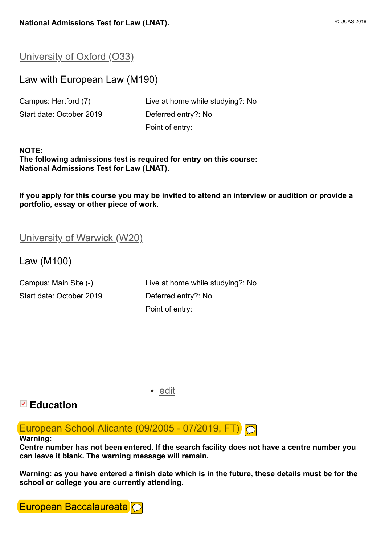#### [University](https://2019.undergrad.apply.ucas.com/ucasapply/ChoicesServlet?functionname=choicedetails&mode=edit&choiceId=2&id=044361ef0cfb185f5c9f197fea52&ran=2l3zz3upemf8) of Oxford (O33)

### Law with European Law (M190)

| Campus: Hertford (7)     |
|--------------------------|
| Start date: October 2019 |

Live at home while studying?: No Deferred entry?: No Point of entry:

**NOTE: The following admissions test is required for entry on this course: National Admissions Test for Law (LNAT).**

**If you apply for this course you may be invited to attend an interview or audition or provide a portfolio, essay or other piece of work.**

#### [University](https://2019.undergrad.apply.ucas.com/ucasapply/ChoicesServlet?functionname=choicedetails&mode=edit&choiceId=3&id=044361ef0cfb185f5c9f197fea52&ran=1095up6nhyrkl) of Warwick (W20)

Law (M100)

Start date: October 2019 Deferred entry?: No

Campus: Main Site (-) Live at home while studying?: No Point of entry:

• [edit](https://2019.undergrad.apply.ucas.com/ucasapply/EducationServlet?functionname=educationsummary&id=044361ef0cfb185f5c9f197fea52&ran=xlt7vdv0gdg7)

### **Education**

European [School Alicante](https://2019.undergrad.apply.ucas.com/ucasapply/EducationServlet?functionname=educationcentre&mode=edit&edeId=1&id=044361ef0cfb185f5c9f197fea52&ran=1njoqyl1gepkm) (09/2005 - 07/2019, FT)  $\bigcirc$ 

#### **Warning:**

**Centre number has not been entered. If the search facility does not have a centre number you can leave it blank. The warning message will remain.**

**Warning: as you have entered a finish date which is in the future, these details must be for the school or college you are currently attending.**